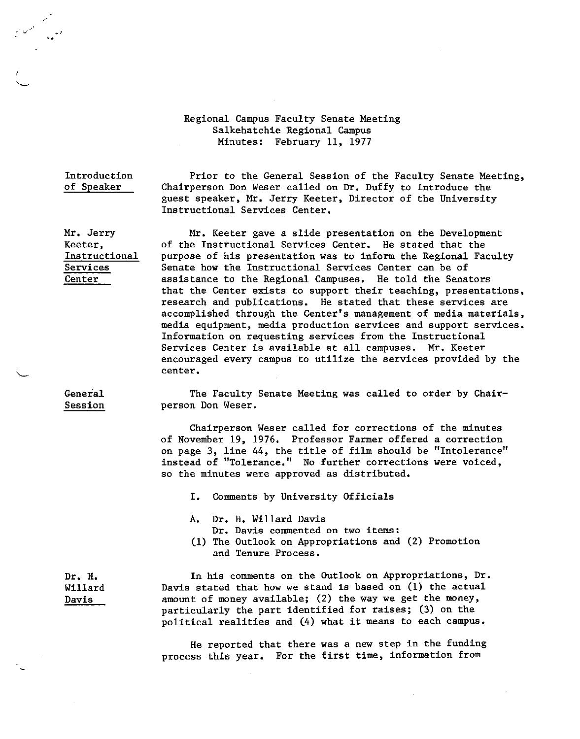## Regional Campus Faculty Senate Meeting Salkehatchie Regional Campus Minutes: February 11, 1977

Introduction of Speaker

Mr. Jerry Keeter,

Instructional Services Center

,- <sup>V</sup>• *t*  ••

> Prior to the General Session of the Faculty Senate Meeting, Chairperson Don Weser called on Dr, Duffy to introduce the guest speaker, Mr. Jerry Keeter, Director of the University Instructional Services Center.

Mr. Keeter gave a slide presentation on the Development of the Instructional Services Center. He stated that the purpose of his presentation was to inform the Regional Faculty Senate how the Instructional Services Center can be of assistance to the Regional Campuses. He told the Senators that the Center exists to support their teaching, presentations, research and publications. He stated that these services are accomplished through the Center's management of media materials, media equipment, media production services and support services. Information on requesting services from the Instructional Services Center is available at all campuses. Mr. Keeter encouraged every campus to utilize the services provided by the **center.** 

General Session

The Faculty Senate Meeting was called to order by Chairperson Don Weser.

Chairperson Weser called for corrections of the minutes of November 19, 1976. Professor Farmer offered a correction on page 3, line 44, the title of film should be "Intolerance" instead of "Tolerance." No further corrections were voiced, so the minutes were approved as distributed.

I. Comments by University Officials

A. Dr. H. Willard Davis

Dr. Davis commented on two items:

(1) The Outlook on Appropriations and (2) Promotion and Tenure Process.

**Dr. H.**  Willard Davis

In his comments on the Outlook on Appropriations, Dr. Davis stated that how we stand is based on (1) the actual amount of money available; (2) the way we get the money, particularly the part identified for raises; (3) on the political realities and (4) what it means to each campus.

He reported that there was a new step in the funding process this year. For the first time, information from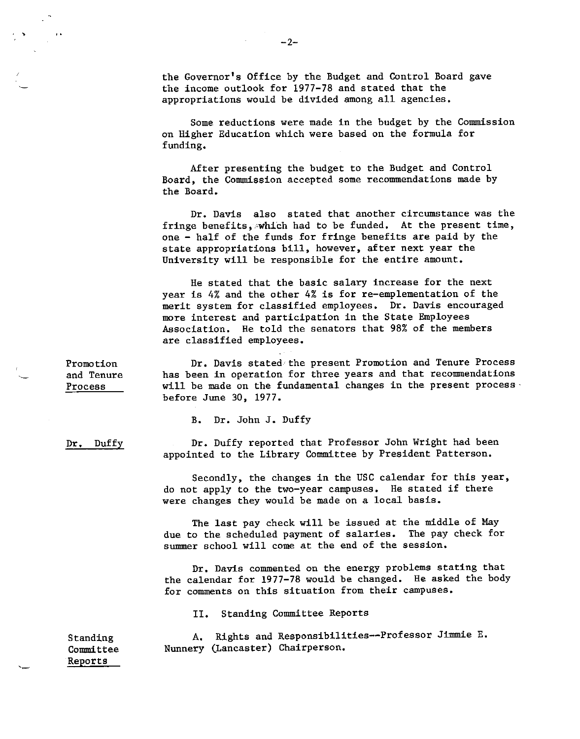the Governor's Office by the Budget and Control Board gave the income outlook for 1977-78 and stated that the appropriations would be divided among all agencies.

Some reductions were made in the budget by the Commission on Higher Education which were based on the formula for funding.

After presenting the budget to the Budget and Control Board, the Commission accepted some recommendations made by the Board.

Dr. Davis also stated that another circumstance was the fringe benefits, which had to be funded. At the present time, one - half of the funds for fringe benefits are paid by the state appropriations bill, however, after next year the University will be responsible for the entire amount.

He stated that the basic salary increase for the next year is 4% and the other 4% is for re-emplementation of the merit system for classified employees. Dr. Davis encouraged more interest and participation in the State Employees Association. He told the senators that 98% of the members are classified employees.

Dr. Davis stated the present Promotion and Tenure Process has been in operation for three years and that recommendations will be made on the fundamental changes in the present process· before June 30, 1977.

B. Dr. John J. Duffy

Dr. Duffy reported that Professor John Wright had been appointed to the Library Committee by President Patterson.

Secondly, the changes in the USC calendar for this year, do not apply to the two-year campuses. He stated if there were changes they would be made on a local basis.

The last pay check will be issued at the middle of May due to the scheduled payment of salaries. summer school will come at the end of the session. The pay check for

Dr. Davis commented on the energy problems stating that the calendar for 1977-78 would be changed. He asked the body for comments on this situation from their campuses.

II. Standing Committee Reports

A. Rights and Responsibilities--Professor Jimmie E. Nunnery (Lancaster) Chairperson.

Promotion and Tenure Process

 $\cdot$   $\cdot$ 

Dr. Duffy

Standing Committee Reports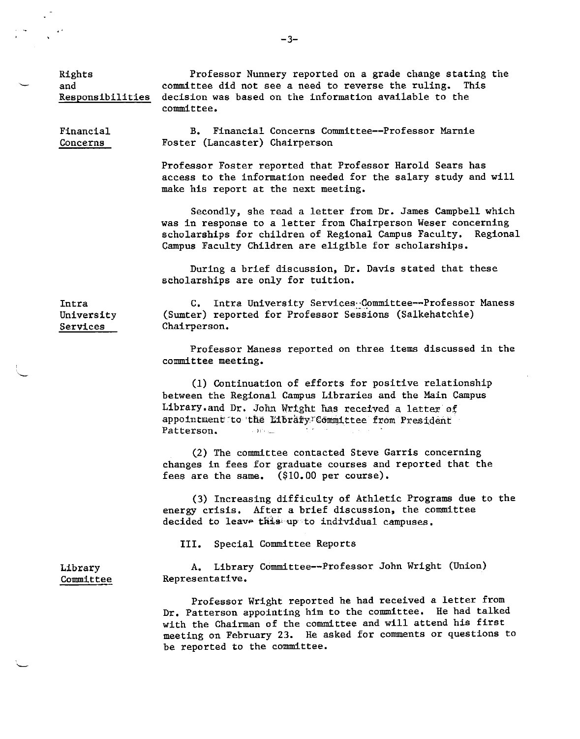Rights and Responsibilities

Professor Nunnery reported on a grade change stating the committee did not see a need to reverse the ruling. This decision was based on the information available to the committee.

Financial Concerns

B. Financial Concerns Committee--Professor Marnie Foster (Lancaster) Chairperson

Professor Foster reported that Professor Harold Sears has access to the information needed for the salary study and will make his report at the next meeting.

Secondly, she read a letter from Dr. James Campbell which was in response to a letter from Chairperson Weser concerning scholarships for children of Regional Campus Faculty. Regional Campus Faculty Children are eligible for scholarships.

During a brief discussion, Dr. Davis stated that these scholarships are only for tuition.

Intra University Services

C. Intra University Services Committee--Professor Maness (Sumter) reported for Professor Sessions (Salkehatchie) Chairperson.

Professor Maness reported on three items discussed in the committee meeting.

(1) Continuation of efforts for positive relationship between the Regional Campus Libraries and the Main Campus Library.and Dr. John Wright has received a letter of appointment to the Libraty Committee from President Patterson.

(2) The committee contacted Steve Garris concerning changes in fees for graduate courses and reported that the fees are the same. (\$10.00 per course).

(3) Increasing difficulty of Athletic Programs due to the energy crisis. After a brief discussion, the committee decided to leave this up to individual campuses.

III. Special Committee Reports

Library Committee

A. Library Committee--Professor John Wright (Union) Representative.

Professor Wright reported he had received a letter from Dr. Patterson appointing him to the committee. He had talked with the Chairman of the committee and will attend his first meeting on February 23. He asked for comments or questions to be reported to the committee.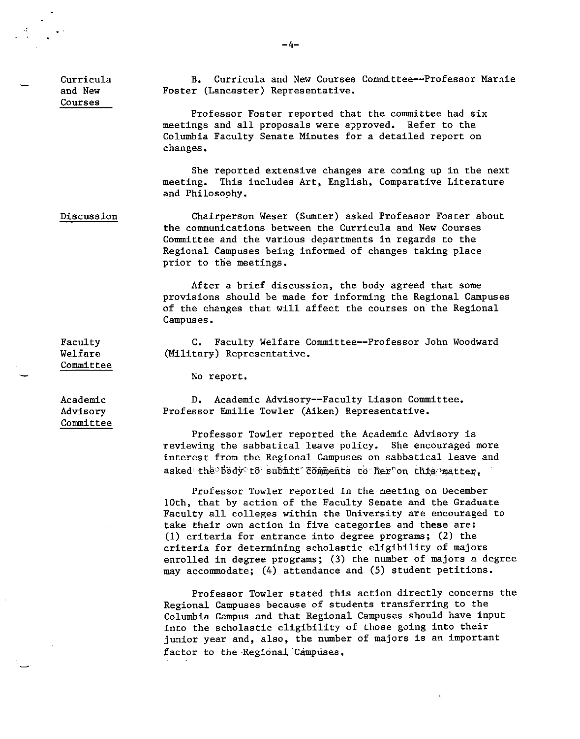Curricula and New Courses

B, Curricula and New Courses Committee--Professor Marnie Foster (Lancaster) Representative,

Professor Foster reported that the committee had six meetings and all proposals were approved, Refer to the Columbia Faculty Senate Minutes for a detailed report on changes,

She reported extensive changes are coming up in the next meeting, This includes Art, English, Comparative Literature and Philosophy.

Discussion

Chairperson Weser (Sumter) asked Professor Foster about the communications between the Curricula and New Courses Committee and the various departments in regards to the Regional Campuses being informed of changes taking place prior to the meetings,

After a brief discussion, the body agreed that some provisions should be made for informing the Regional Campuses of the changes that will affect the courses on the Regional Campuses.

C. Faculty Welfare Committee--Professor John Woodward (Military) Representative,

No report,

Academic Advisory Committee

Faculty Welfare Committee

> D, Academic Advisory--Faculty Liason Committee, Professor Emilie Towler (Aiken) Representative.

Professor Towler reported the Academic Advisory is reviewing the sabbatical leave policy. She encouraged more interest from the Regional Campuses on sabbatical leave and asked the body to submit comments to her on this matter,

Professor Towler reported in the meeting on December 10th, that by action of the Faculty Senate and the Graduate Faculty all colleges within the University are encouraged to take their own action in five categories and **these** are: (1) criteria for entrance into degree programs; (2) the criteria for determining scholastic eligibility of majors enrolled in degree programs; (3) the number of majors a degree may accommodate; (4) attendance and (5) student petitions.

Professor Towler stated this action directly concerns the Regional Campuses because of students transferring to the Columbia Campus and that Regional Campuses should have input into the scholastic eligibility of those going into their junior year and, also, the number of majors is an important factor to the Regional Campuses.